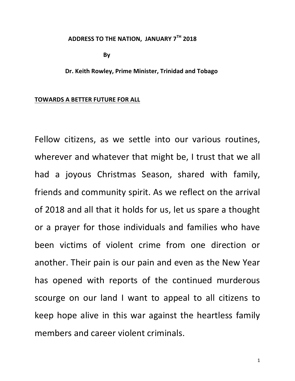#### **ADDRESS TO THE NATION, JANUARY 7<sup>TH</sup> 2018**

**By** 

Dr. Keith Rowley, Prime Minister, Trinidad and Tobago

#### **TOWARDS A BETTER FUTURE FOR ALL**

Fellow citizens, as we settle into our various routines, wherever and whatever that might be, I trust that we all had a joyous Christmas Season, shared with family, friends and community spirit. As we reflect on the arrival of 2018 and all that it holds for us, let us spare a thought or a prayer for those individuals and families who have been victims of violent crime from one direction or another. Their pain is our pain and even as the New Year has opened with reports of the continued murderous scourge on our land I want to appeal to all citizens to keep hope alive in this war against the heartless family members and career violent criminals.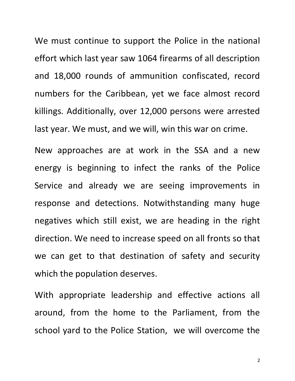We must continue to support the Police in the national effort which last year saw 1064 firearms of all description and 18,000 rounds of ammunition confiscated, record numbers for the Caribbean, yet we face almost record killings. Additionally, over 12,000 persons were arrested last year. We must, and we will, win this war on crime.

New approaches are at work in the SSA and a new energy is beginning to infect the ranks of the Police Service and already we are seeing improvements in response and detections. Notwithstanding many huge negatives which still exist, we are heading in the right direction. We need to increase speed on all fronts so that we can get to that destination of safety and security which the population deserves.

With appropriate leadership and effective actions all around, from the home to the Parliament, from the school yard to the Police Station, we will overcome the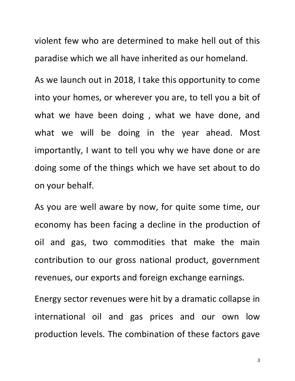violent few who are determined to make hell out of this paradise which we all have inherited as our homeland.

As we launch out in 2018, I take this opportunity to come into your homes, or wherever you are, to tell you a bit of what we have been doing, what we have done, and what we will be doing in the year ahead. Most importantly, I want to tell you why we have done or are doing some of the things which we have set about to do on your behalf.

As you are well aware by now, for quite some time, our economy has been facing a decline in the production of oil and gas, two commodities that make the main contribution to our gross national product, government revenues, our exports and foreign exchange earnings.

Energy sector revenues were hit by a dramatic collapse in international oil and gas prices and our own low production levels. The combination of these factors gave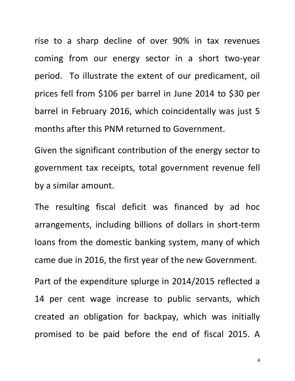rise to a sharp decline of over 90% in tax revenues coming from our energy sector in a short two-year period. To illustrate the extent of our predicament, oil prices fell from \$106 per barrel in June 2014 to \$30 per barrel in February 2016, which coincidentally was just 5 months after this PNM returned to Government.

Given the significant contribution of the energy sector to government tax receipts, total government revenue fell by a similar amount.

The resulting fiscal deficit was financed by ad hoc arrangements, including billions of dollars in short-term loans from the domestic banking system, many of which came due in 2016, the first year of the new Government.

Part of the expenditure splurge in 2014/2015 reflected a 14 per cent wage increase to public servants, which created an obligation for backpay, which was initially promised to be paid before the end of fiscal 2015. A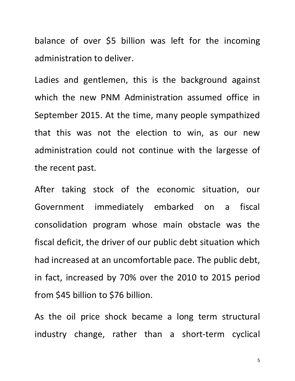balance of over \$5 billion was left for the incoming administration to deliver.

Ladies and gentlemen, this is the background against which the new PNM Administration assumed office in September 2015. At the time, many people sympathized that this was not the election to win, as our new administration could not continue with the largesse of the recent past.

After taking stock of the economic situation, our Government immediately embarked on a fiscal consolidation program whose main obstacle was the fiscal deficit, the driver of our public debt situation which had increased at an uncomfortable pace. The public debt, in fact, increased by 70% over the 2010 to 2015 period from \$45 billion to \$76 billion.

As the oil price shock became a long term structural industry change, rather than a short-term cyclical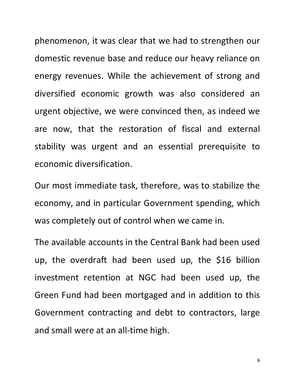phenomenon, it was clear that we had to strengthen our domestic revenue base and reduce our heavy reliance on energy revenues. While the achievement of strong and diversified economic growth was also considered an urgent objective, we were convinced then, as indeed we are now, that the restoration of fiscal and external stability was urgent and an essential prerequisite to economic diversification.

Our most immediate task, therefore, was to stabilize the economy, and in particular Government spending, which was completely out of control when we came in.

The available accounts in the Central Bank had been used up, the overdraft had been used up, the \$16 billion investment retention at NGC had been used up, the Green Fund had been mortgaged and in addition to this Government contracting and debt to contractors, large and small were at an all-time high.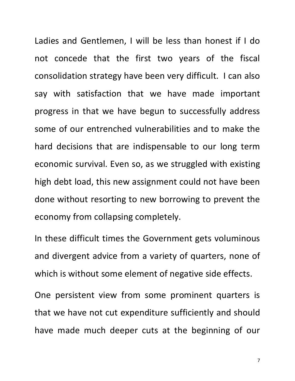Ladies and Gentlemen, I will be less than honest if I do not concede that the first two years of the fiscal consolidation strategy have been very difficult. I can also say with satisfaction that we have made important progress in that we have begun to successfully address some of our entrenched vulnerabilities and to make the hard decisions that are indispensable to our long term economic survival. Even so, as we struggled with existing high debt load, this new assignment could not have been done without resorting to new borrowing to prevent the economy from collapsing completely.

In these difficult times the Government gets voluminous and divergent advice from a variety of quarters, none of which is without some element of negative side effects.

One persistent view from some prominent quarters is that we have not cut expenditure sufficiently and should have made much deeper cuts at the beginning of our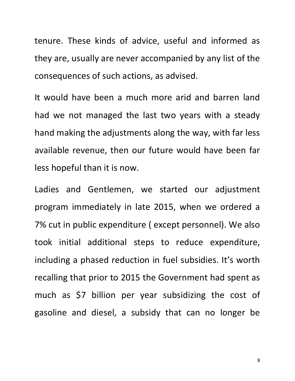tenure. These kinds of advice, useful and informed as they are, usually are never accompanied by any list of the consequences of such actions, as advised.

It would have been a much more arid and barren land had we not managed the last two years with a steady hand making the adjustments along the way, with far less available revenue, then our future would have been far less hopeful than it is now.

Ladies and Gentlemen, we started our adjustment program immediately in late 2015, when we ordered a 7% cut in public expenditure ( except personnel). We also took initial additional steps to reduce expenditure, including a phased reduction in fuel subsidies. It's worth recalling that prior to 2015 the Government had spent as much as \$7 billion per year subsidizing the cost of gasoline and diesel, a subsidy that can no longer be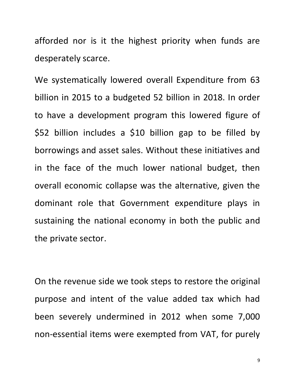afforded nor is it the highest priority when funds are desperately scarce.

We systematically lowered overall Expenditure from 63 billion in 2015 to a budgeted 52 billion in 2018. In order to have a development program this lowered figure of \$52 billion includes a \$10 billion gap to be filled by borrowings and asset sales. Without these initiatives and in the face of the much lower national budget, then overall economic collapse was the alternative, given the dominant role that Government expenditure plays in sustaining the national economy in both the public and the private sector.

On the revenue side we took steps to restore the original purpose and intent of the value added tax which had been severely undermined in 2012 when some 7,000 non-essential items were exempted from VAT, for purely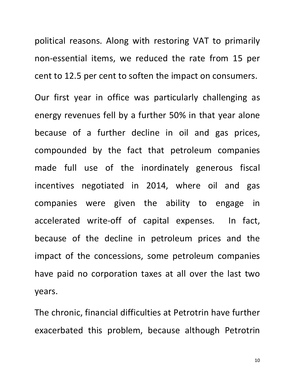political reasons. Along with restoring VAT to primarily non-essential items, we reduced the rate from 15 per cent to 12.5 per cent to soften the impact on consumers.

Our first year in office was particularly challenging as energy revenues fell by a further 50% in that year alone because of a further decline in oil and gas prices, compounded by the fact that petroleum companies made full use of the inordinately generous fiscal incentives negotiated in 2014, where oil and gas companies were given the ability to engage in accelerated write-off of capital expenses. In fact, because of the decline in petroleum prices and the impact of the concessions, some petroleum companies have paid no corporation taxes at all over the last two years. 

The chronic, financial difficulties at Petrotrin have further exacerbated this problem, because although Petrotrin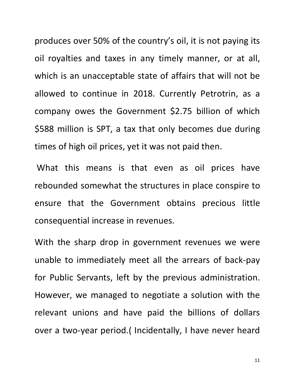produces over 50% of the country's oil, it is not paying its oil royalties and taxes in any timely manner, or at all, which is an unacceptable state of affairs that will not be allowed to continue in 2018. Currently Petrotrin, as a company owes the Government \$2.75 billion of which \$588 million is SPT, a tax that only becomes due during times of high oil prices, yet it was not paid then.

What this means is that even as oil prices have rebounded somewhat the structures in place conspire to ensure that the Government obtains precious little consequential increase in revenues.

With the sharp drop in government revenues we were unable to immediately meet all the arrears of back-pay for Public Servants, left by the previous administration. However, we managed to negotiate a solution with the relevant unions and have paid the billions of dollars over a two-year period. (Incidentally, I have never heard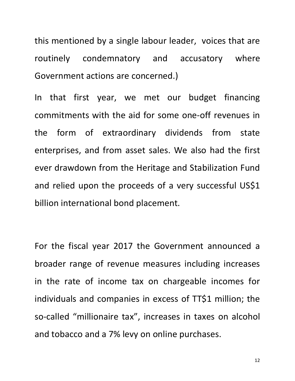this mentioned by a single labour leader, voices that are routinely condemnatory and accusatory where Government actions are concerned.)

In that first year, we met our budget financing commitments with the aid for some one-off revenues in the form of extraordinary dividends from state enterprises, and from asset sales. We also had the first ever drawdown from the Heritage and Stabilization Fund and relied upon the proceeds of a very successful US\$1 billion international bond placement.

For the fiscal year 2017 the Government announced a broader range of revenue measures including increases in the rate of income tax on chargeable incomes for individuals and companies in excess of TT\$1 million; the so-called "millionaire tax", increases in taxes on alcohol and tobacco and a 7% levy on online purchases.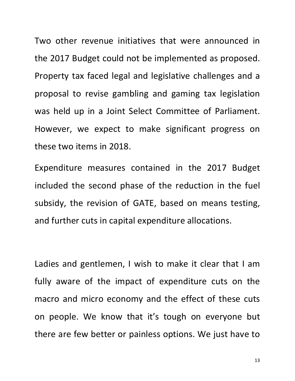Two other revenue initiatives that were announced in the 2017 Budget could not be implemented as proposed. Property tax faced legal and legislative challenges and a proposal to revise gambling and gaming tax legislation was held up in a Joint Select Committee of Parliament. However, we expect to make significant progress on these two items in 2018.

Expenditure measures contained in the 2017 Budget included the second phase of the reduction in the fuel subsidy, the revision of GATE, based on means testing, and further cuts in capital expenditure allocations.

Ladies and gentlemen, I wish to make it clear that I am fully aware of the impact of expenditure cuts on the macro and micro economy and the effect of these cuts on people. We know that it's tough on everyone but there are few better or painless options. We just have to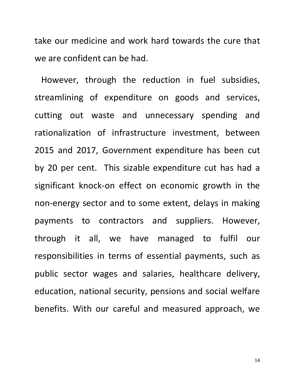take our medicine and work hard towards the cure that we are confident can be had.

However, through the reduction in fuel subsidies, streamlining of expenditure on goods and services, cutting out waste and unnecessary spending and rationalization of infrastructure investment, between 2015 and 2017, Government expenditure has been cut by 20 per cent. This sizable expenditure cut has had a significant knock-on effect on economic growth in the non-energy sector and to some extent, delays in making payments to contractors and suppliers. However, through it all, we have managed to fulfil our responsibilities in terms of essential payments, such as public sector wages and salaries, healthcare delivery, education, national security, pensions and social welfare benefits. With our careful and measured approach, we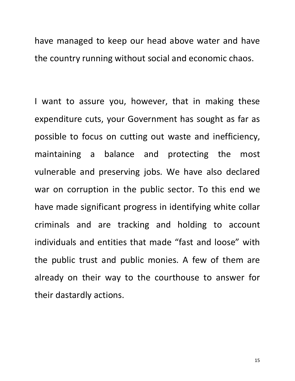have managed to keep our head above water and have the country running without social and economic chaos.

I want to assure you, however, that in making these expenditure cuts, your Government has sought as far as possible to focus on cutting out waste and inefficiency, maintaining a balance and protecting the most vulnerable and preserving jobs. We have also declared war on corruption in the public sector. To this end we have made significant progress in identifying white collar criminals and are tracking and holding to account individuals and entities that made "fast and loose" with the public trust and public monies. A few of them are already on their way to the courthouse to answer for their dastardly actions.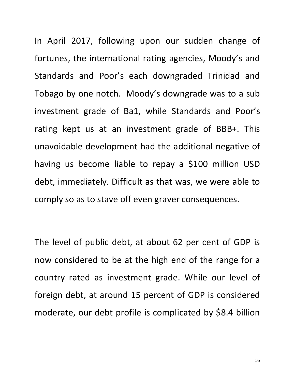In April 2017, following upon our sudden change of fortunes, the international rating agencies, Moody's and Standards and Poor's each downgraded Trinidad and Tobago by one notch. Moody's downgrade was to a sub investment grade of Ba1, while Standards and Poor's rating kept us at an investment grade of BBB+. This unavoidable development had the additional negative of having us become liable to repay a \$100 million USD debt, immediately. Difficult as that was, we were able to comply so as to stave off even graver consequences.

The level of public debt, at about 62 per cent of GDP is now considered to be at the high end of the range for a country rated as investment grade. While our level of foreign debt, at around 15 percent of GDP is considered moderate, our debt profile is complicated by \$8.4 billion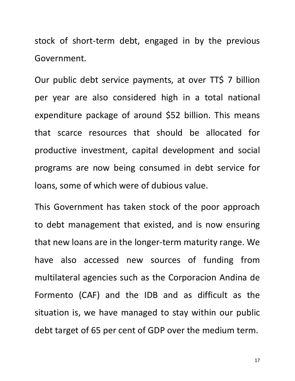stock of short-term debt, engaged in by the previous Government. 

Our public debt service payments, at over TT\$ 7 billion per year are also considered high in a total national expenditure package of around \$52 billion. This means that scarce resources that should be allocated for productive investment, capital development and social programs are now being consumed in debt service for loans, some of which were of dubious value.

This Government has taken stock of the poor approach to debt management that existed, and is now ensuring that new loans are in the longer-term maturity range. We have also accessed new sources of funding from multilateral agencies such as the Corporacion Andina de Formento (CAF) and the IDB and as difficult as the situation is, we have managed to stay within our public debt target of 65 per cent of GDP over the medium term.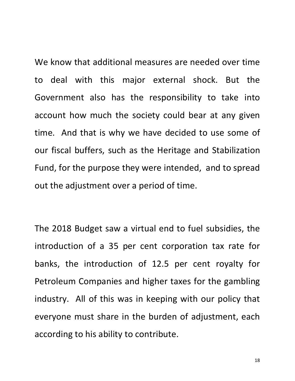We know that additional measures are needed over time to deal with this major external shock. But the Government also has the responsibility to take into account how much the society could bear at any given time. And that is why we have decided to use some of our fiscal buffers, such as the Heritage and Stabilization Fund, for the purpose they were intended, and to spread out the adjustment over a period of time.

The 2018 Budget saw a virtual end to fuel subsidies, the introduction of a 35 per cent corporation tax rate for banks, the introduction of 12.5 per cent royalty for Petroleum Companies and higher taxes for the gambling industry. All of this was in keeping with our policy that everyone must share in the burden of adjustment, each according to his ability to contribute.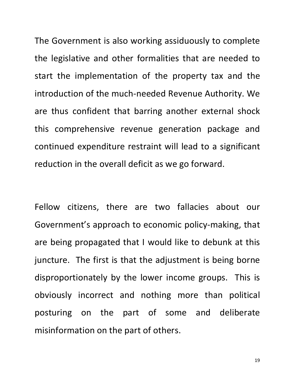The Government is also working assiduously to complete the legislative and other formalities that are needed to start the implementation of the property tax and the introduction of the much-needed Revenue Authority. We are thus confident that barring another external shock this comprehensive revenue generation package and continued expenditure restraint will lead to a significant reduction in the overall deficit as we go forward.

Fellow citizens, there are two fallacies about our Government's approach to economic policy-making, that are being propagated that I would like to debunk at this juncture. The first is that the adjustment is being borne disproportionately by the lower income groups. This is obviously incorrect and nothing more than political posturing on the part of some and deliberate misinformation on the part of others.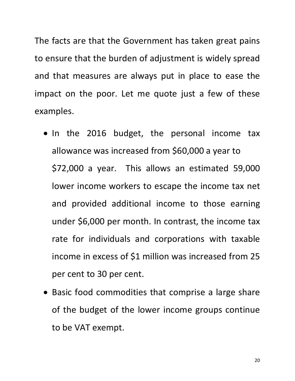The facts are that the Government has taken great pains to ensure that the burden of adjustment is widely spread and that measures are always put in place to ease the impact on the poor. Let me quote just a few of these examples.

- In the 2016 budget, the personal income tax allowance was increased from \$60,000 a year to \$72,000 a year. This allows an estimated 59,000 lower income workers to escape the income tax net and provided additional income to those earning under \$6,000 per month. In contrast, the income tax rate for individuals and corporations with taxable income in excess of \$1 million was increased from 25 per cent to 30 per cent.
- Basic food commodities that comprise a large share of the budget of the lower income groups continue to be VAT exempt.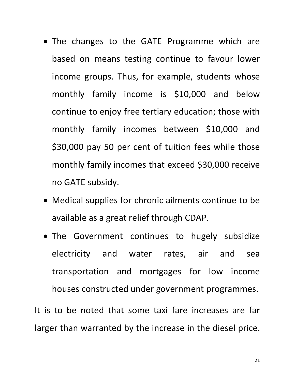- The changes to the GATE Programme which are based on means testing continue to favour lower income groups. Thus, for example, students whose monthly family income is \$10,000 and below continue to enjoy free tertiary education; those with monthly family incomes between \$10,000 and \$30,000 pay 50 per cent of tuition fees while those monthly family incomes that exceed \$30,000 receive no GATE subsidy.
- Medical supplies for chronic ailments continue to be available as a great relief through CDAP.
- The Government continues to hugely subsidize electricity and water rates, air and sea transportation and mortgages for low income houses constructed under government programmes.

It is to be noted that some taxi fare increases are far larger than warranted by the increase in the diesel price.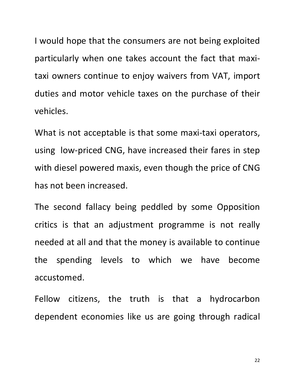I would hope that the consumers are not being exploited particularly when one takes account the fact that maxitaxi owners continue to enjoy waivers from VAT, import duties and motor vehicle taxes on the purchase of their vehicles.

What is not acceptable is that some maxi-taxi operators, using low-priced CNG, have increased their fares in step with diesel powered maxis, even though the price of CNG has not been increased.

The second fallacy being peddled by some Opposition critics is that an adjustment programme is not really needed at all and that the money is available to continue the spending levels to which we have become accustomed.

Fellow citizens, the truth is that a hydrocarbon dependent economies like us are going through radical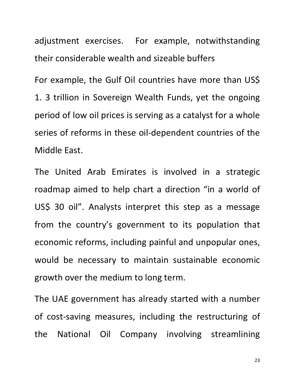adjustment exercises. For example, notwithstanding their considerable wealth and sizeable buffers

For example, the Gulf Oil countries have more than US\$ 1. 3 trillion in Sovereign Wealth Funds, yet the ongoing period of low oil prices is serving as a catalyst for a whole series of reforms in these oil-dependent countries of the Middle East.

The United Arab Emirates is involved in a strategic roadmap aimed to help chart a direction "in a world of US\$ 30 oil". Analysts interpret this step as a message from the country's government to its population that economic reforms, including painful and unpopular ones, would be necessary to maintain sustainable economic growth over the medium to long term.

The UAE government has already started with a number of cost-saving measures, including the restructuring of the National Oil Company involving streamlining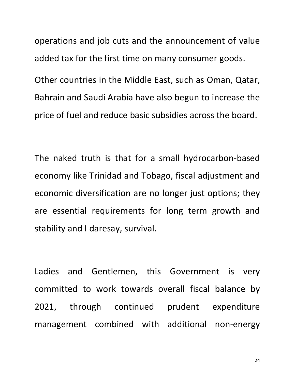operations and job cuts and the announcement of value added tax for the first time on many consumer goods.

Other countries in the Middle East, such as Oman, Qatar, Bahrain and Saudi Arabia have also begun to increase the price of fuel and reduce basic subsidies across the board.

The naked truth is that for a small hydrocarbon-based economy like Trinidad and Tobago, fiscal adjustment and economic diversification are no longer just options; they are essential requirements for long term growth and stability and I daresay, survival.

Ladies and Gentlemen, this Government is very committed to work towards overall fiscal balance by 2021, through continued prudent expenditure management combined with additional non-energy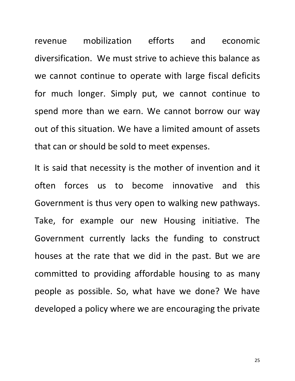revenue mobilization efforts and economic diversification. We must strive to achieve this balance as we cannot continue to operate with large fiscal deficits for much longer. Simply put, we cannot continue to spend more than we earn. We cannot borrow our way out of this situation. We have a limited amount of assets that can or should be sold to meet expenses.

It is said that necessity is the mother of invention and it often forces us to become innovative and this Government is thus very open to walking new pathways. Take, for example our new Housing initiative. The Government currently lacks the funding to construct houses at the rate that we did in the past. But we are committed to providing affordable housing to as many people as possible. So, what have we done? We have developed a policy where we are encouraging the private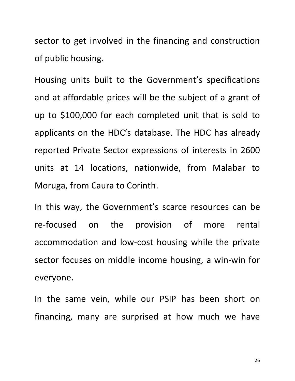sector to get involved in the financing and construction of public housing.

Housing units built to the Government's specifications and at affordable prices will be the subject of a grant of up to \$100,000 for each completed unit that is sold to applicants on the HDC's database. The HDC has already reported Private Sector expressions of interests in 2600 units at 14 locations, nationwide, from Malabar to Moruga, from Caura to Corinth.

In this way, the Government's scarce resources can be re-focused on the provision of more rental accommodation and low-cost housing while the private sector focuses on middle income housing, a win-win for everyone.

In the same vein, while our PSIP has been short on financing, many are surprised at how much we have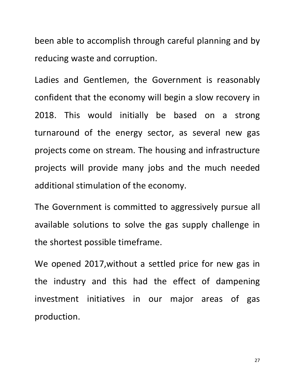been able to accomplish through careful planning and by reducing waste and corruption.

Ladies and Gentlemen, the Government is reasonably confident that the economy will begin a slow recovery in 2018. This would initially be based on a strong turnaround of the energy sector, as several new gas projects come on stream. The housing and infrastructure projects will provide many jobs and the much needed additional stimulation of the economy.

The Government is committed to aggressively pursue all available solutions to solve the gas supply challenge in the shortest possible timeframe.

We opened 2017, without a settled price for new gas in the industry and this had the effect of dampening investment initiatives in our major areas of gas production.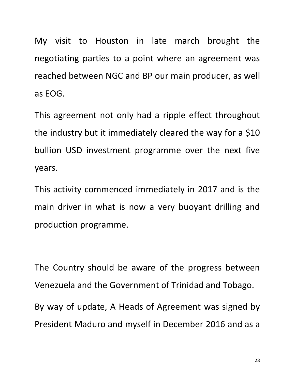My visit to Houston in late march brought the negotiating parties to a point where an agreement was reached between NGC and BP our main producer, as well as EOG.

This agreement not only had a ripple effect throughout the industry but it immediately cleared the way for a  $$10$ bullion USD investment programme over the next five years.

This activity commenced immediately in 2017 and is the main driver in what is now a very buoyant drilling and production programme.

The Country should be aware of the progress between Venezuela and the Government of Trinidad and Tobago. By way of update, A Heads of Agreement was signed by President Maduro and myself in December 2016 and as a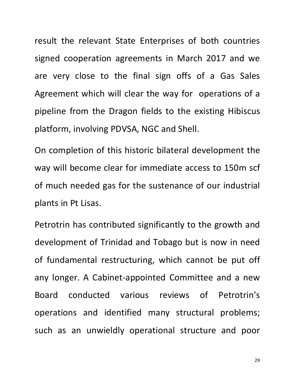result the relevant State Enterprises of both countries signed cooperation agreements in March 2017 and we are very close to the final sign offs of a Gas Sales Agreement which will clear the way for operations of a pipeline from the Dragon fields to the existing Hibiscus platform, involving PDVSA, NGC and Shell.

On completion of this historic bilateral development the way will become clear for immediate access to 150m scf of much needed gas for the sustenance of our industrial plants in Pt Lisas.

Petrotrin has contributed significantly to the growth and development of Trinidad and Tobago but is now in need of fundamental restructuring, which cannot be put off any longer. A Cabinet-appointed Committee and a new Board conducted various reviews of Petrotrin's operations and identified many structural problems; such as an unwieldly operational structure and poor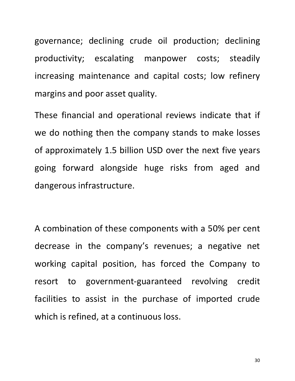governance; declining crude oil production; declining productivity; escalating manpower costs; steadily increasing maintenance and capital costs; low refinery margins and poor asset quality.

These financial and operational reviews indicate that if we do nothing then the company stands to make losses of approximately 1.5 billion USD over the next five years going forward alongside huge risks from aged and dangerous infrastructure.

A combination of these components with a 50% per cent decrease in the company's revenues; a negative net working capital position, has forced the Company to resort to government-guaranteed revolving credit facilities to assist in the purchase of imported crude which is refined, at a continuous loss.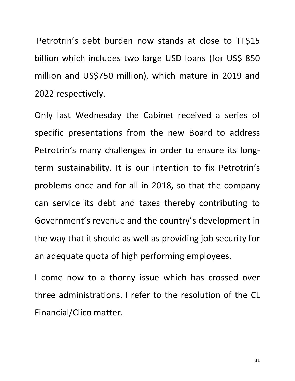Petrotrin's debt burden now stands at close to TT\$15 billion which includes two large USD loans (for US\$ 850 million and US\$750 million), which mature in 2019 and 2022 respectively.

Only last Wednesday the Cabinet received a series of specific presentations from the new Board to address Petrotrin's many challenges in order to ensure its longterm sustainability. It is our intention to fix Petrotrin's problems once and for all in 2018, so that the company can service its debt and taxes thereby contributing to Government's revenue and the country's development in the way that it should as well as providing job security for an adequate quota of high performing employees.

I come now to a thorny issue which has crossed over three administrations. I refer to the resolution of the CL Financial/Clico matter.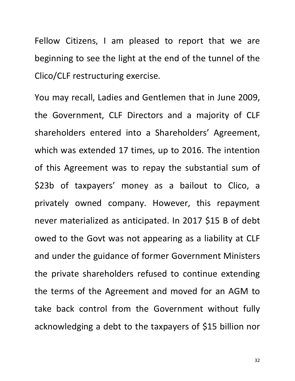Fellow Citizens, I am pleased to report that we are beginning to see the light at the end of the tunnel of the Clico/CLF restructuring exercise.

You may recall, Ladies and Gentlemen that in June 2009, the Government, CLF Directors and a majority of CLF shareholders entered into a Shareholders' Agreement, which was extended 17 times, up to 2016. The intention of this Agreement was to repay the substantial sum of \$23b of taxpayers' money as a bailout to Clico, a privately owned company. However, this repayment never materialized as anticipated. In 2017 \$15 B of debt owed to the Govt was not appearing as a liability at CLF and under the guidance of former Government Ministers the private shareholders refused to continue extending the terms of the Agreement and moved for an AGM to take back control from the Government without fully acknowledging a debt to the taxpayers of \$15 billion nor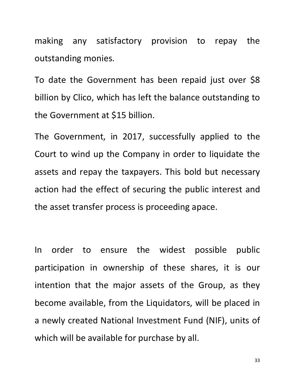making any satisfactory provision to repay the outstanding monies.

To date the Government has been repaid just over \$8 billion by Clico, which has left the balance outstanding to the Government at \$15 billion.

The Government, in 2017, successfully applied to the Court to wind up the Company in order to liquidate the assets and repay the taxpayers. This bold but necessary action had the effect of securing the public interest and the asset transfer process is proceeding apace.

In order to ensure the widest possible public participation in ownership of these shares, it is our intention that the major assets of the Group, as they become available, from the Liquidators, will be placed in a newly created National Investment Fund (NIF), units of which will be available for purchase by all.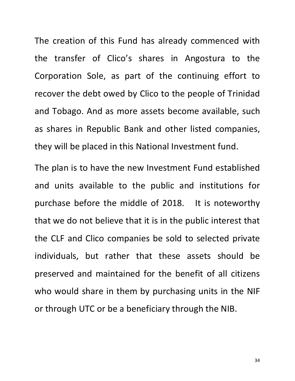The creation of this Fund has already commenced with the transfer of Clico's shares in Angostura to the Corporation Sole, as part of the continuing effort to recover the debt owed by Clico to the people of Trinidad and Tobago. And as more assets become available, such as shares in Republic Bank and other listed companies, they will be placed in this National Investment fund.

The plan is to have the new Investment Fund established and units available to the public and institutions for purchase before the middle of 2018. It is noteworthy that we do not believe that it is in the public interest that the CLF and Clico companies be sold to selected private individuals, but rather that these assets should be preserved and maintained for the benefit of all citizens who would share in them by purchasing units in the NIF or through UTC or be a beneficiary through the NIB.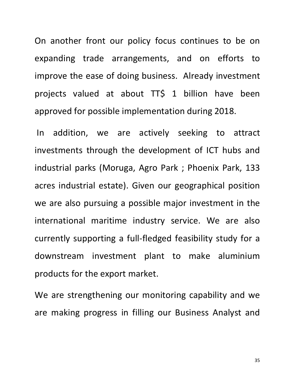On another front our policy focus continues to be on expanding trade arrangements, and on efforts to improve the ease of doing business. Already investment projects valued at about TT\$ 1 billion have been approved for possible implementation during 2018.

In addition, we are actively seeking to attract investments through the development of ICT hubs and industrial parks (Moruga, Agro Park ; Phoenix Park, 133 acres industrial estate). Given our geographical position we are also pursuing a possible major investment in the international maritime industry service. We are also currently supporting a full-fledged feasibility study for a downstream investment plant to make aluminium products for the export market.

We are strengthening our monitoring capability and we are making progress in filling our Business Analyst and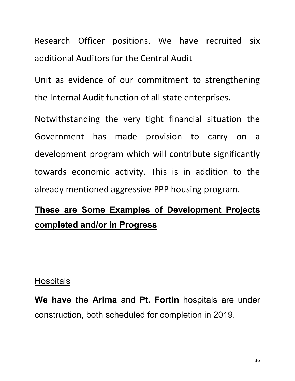Research Officer positions. We have recruited six additional Auditors for the Central Audit

Unit as evidence of our commitment to strengthening the Internal Audit function of all state enterprises.

Notwithstanding the very tight financial situation the Government has made provision to carry on a development program which will contribute significantly towards economic activity. This is in addition to the already mentioned aggressive PPP housing program.

# **These are Some Examples of Development Projects completed and/or in Progress**

#### **Hospitals**

**We have the Arima** and **Pt. Fortin** hospitals are under construction, both scheduled for completion in 2019.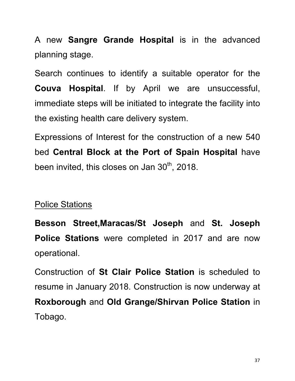A new **Sangre Grande Hospital** is in the advanced planning stage.

Search continues to identify a suitable operator for the **Couva Hospital**. If by April we are unsuccessful, immediate steps will be initiated to integrate the facility into the existing health care delivery system.

Expressions of Interest for the construction of a new 540 bed **Central Block at the Port of Spain Hospital** have been invited, this closes on Jan  $30<sup>th</sup>$ , 2018.

#### Police Stations

**Besson Street,Maracas/St Joseph** and **St. Joseph Police Stations** were completed in 2017 and are now operational.

Construction of **St Clair Police Station** is scheduled to resume in January 2018. Construction is now underway at **Roxborough** and **Old Grange/Shirvan Police Station** in Tobago.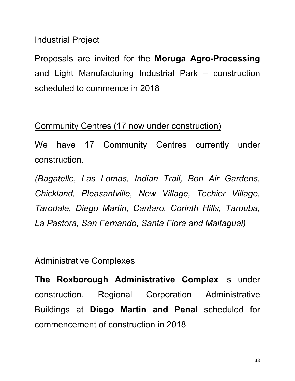#### Industrial Project

Proposals are invited for the **Moruga Agro-Processing** and Light Manufacturing Industrial Park – construction scheduled to commence in 2018

#### Community Centres (17 now under construction)

We have 17 Community Centres currently under construction.

*(Bagatelle, Las Lomas, Indian Trail, Bon Air Gardens, Chickland, Pleasantville, New Village, Techier Village, Tarodale, Diego Martin, Cantaro, Corinth Hills, Tarouba, La Pastora, San Fernando, Santa Flora and Maitagual)*

#### Administrative Complexes

**The Roxborough Administrative Complex** is under construction. Regional Corporation Administrative Buildings at **Diego Martin and Penal** scheduled for commencement of construction in 2018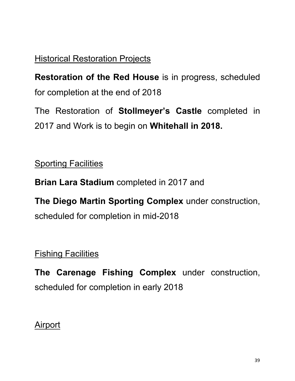# Historical Restoration Projects

**Restoration of the Red House** is in progress, scheduled for completion at the end of 2018

The Restoration of **Stollmeyer's Castle** completed in 2017 and Work is to begin on **Whitehall in 2018.**

**Sporting Facilities** 

**Brian Lara Stadium** completed in 2017 and

**The Diego Martin Sporting Complex** under construction, scheduled for completion in mid-2018

**Fishing Facilities** 

**The Carenage Fishing Complex** under construction, scheduled for completion in early 2018

**Airport**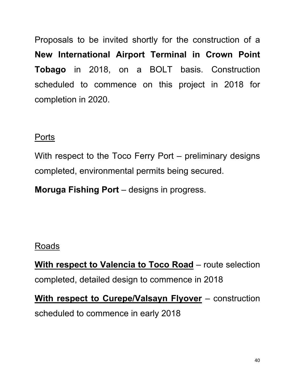Proposals to be invited shortly for the construction of a **New International Airport Terminal in Crown Point Tobago** in 2018, on a BOLT basis. Construction scheduled to commence on this project in 2018 for completion in 2020.

#### **Ports**

With respect to the Toco Ferry Port – preliminary designs completed, environmental permits being secured.

**Moruga Fishing Port** – designs in progress.

## Roads

**With respect to Valencia to Toco Road** – route selection completed, detailed design to commence in 2018

**With respect to Curepe/Valsayn Flyover** – construction scheduled to commence in early 2018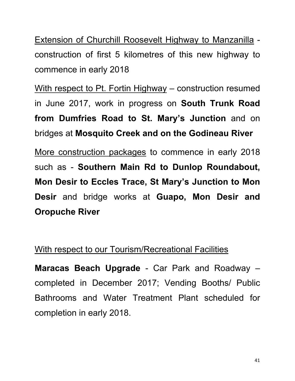Extension of Churchill Roosevelt Highway to Manzanilla construction of first 5 kilometres of this new highway to commence in early 2018

With respect to Pt. Fortin Highway – construction resumed in June 2017, work in progress on **South Trunk Road from Dumfries Road to St. Mary's Junction** and on bridges at **Mosquito Creek and on the Godineau River**

More construction packages to commence in early 2018 such as - **Southern Main Rd to Dunlop Roundabout, Mon Desir to Eccles Trace, St Mary's Junction to Mon Desir** and bridge works at **Guapo, Mon Desir and Oropuche River**

#### With respect to our Tourism/Recreational Facilities

**Maracas Beach Upgrade** - Car Park and Roadway – completed in December 2017; Vending Booths/ Public Bathrooms and Water Treatment Plant scheduled for completion in early 2018.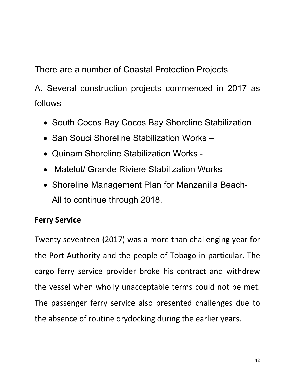# There are a number of Coastal Protection Projects

A. Several construction projects commenced in 2017 as follows

- South Cocos Bay Cocos Bay Shoreline Stabilization
- San Souci Shoreline Stabilization Works –
- Quinam Shoreline Stabilization Works -
- Matelot/ Grande Riviere Stabilization Works
- Shoreline Management Plan for Manzanilla Beach-All to continue through 2018.

#### **Ferry Service**

Twenty seventeen (2017) was a more than challenging year for the Port Authority and the people of Tobago in particular. The cargo ferry service provider broke his contract and withdrew the vessel when wholly unacceptable terms could not be met. The passenger ferry service also presented challenges due to the absence of routine drydocking during the earlier years.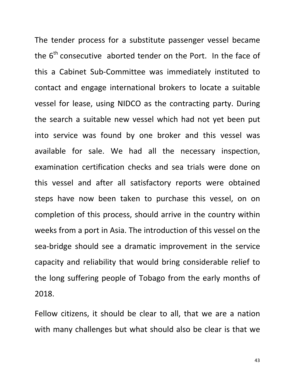The tender process for a substitute passenger vessel became the  $6<sup>th</sup>$  consecutive aborted tender on the Port. In the face of this a Cabinet Sub-Committee was immediately instituted to contact and engage international brokers to locate a suitable vessel for lease, using NIDCO as the contracting party. During the search a suitable new vessel which had not yet been put into service was found by one broker and this vessel was available for sale. We had all the necessary inspection, examination certification checks and sea trials were done on this vessel and after all satisfactory reports were obtained steps have now been taken to purchase this vessel, on on completion of this process, should arrive in the country within weeks from a port in Asia. The introduction of this vessel on the sea-bridge should see a dramatic improvement in the service capacity and reliability that would bring considerable relief to the long suffering people of Tobago from the early months of 2018.

Fellow citizens, it should be clear to all, that we are a nation with many challenges but what should also be clear is that we